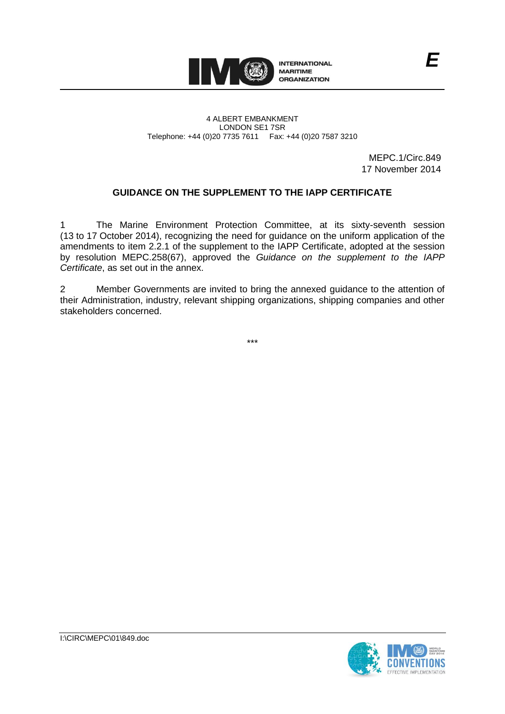

#### 4 ALBERT EMBANKMENT LONDON SE1 7SR Telephone: +44 (0)20 7735 7611 Fax: +44 (0)20 7587 3210

MEPC.1/Circ.849 17 November 2014

*E*

## **GUIDANCE ON THE SUPPLEMENT TO THE IAPP CERTIFICATE**

1 The Marine Environment Protection Committee, at its sixty-seventh session (13 to 17 October 2014), recognizing the need for guidance on the uniform application of the amendments to item 2.2.1 of the supplement to the IAPP Certificate, adopted at the session by resolution MEPC.258(67), approved the *Guidance on the supplement to the IAPP Certificate*, as set out in the annex.

2 Member Governments are invited to bring the annexed guidance to the attention of their Administration, industry, relevant shipping organizations, shipping companies and other stakeholders concerned.

\*\*\*

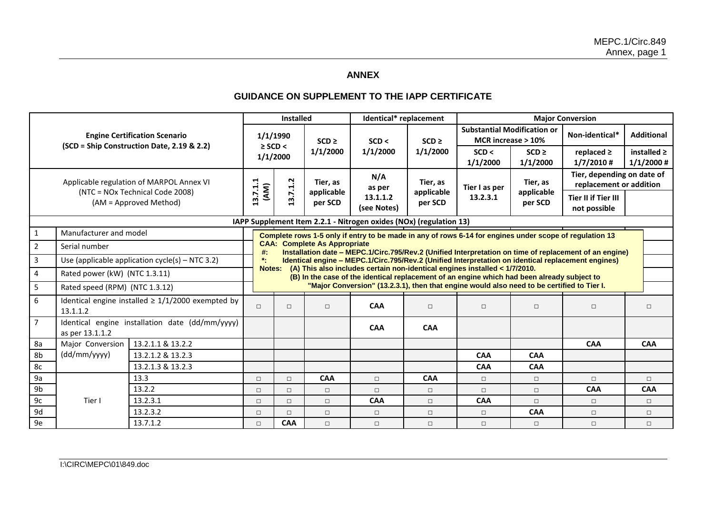# **ANNEX**

# **GUIDANCE ON SUPPLEMENT TO THE IAPP CERTIFICATE**

| <b>Engine Certification Scenario</b><br>(SCD = Ship Construction Date, 2.19 & 2.2)                    |                                                                    |                                                                                                         | Installed                                                                                                                                                                           |                                                                                                                                                                                                                                                                 |                                   | Identical* replacement                                                                     |                                   | <b>Major Conversion</b>                                  |                                   |                                                       |                                  |  |
|-------------------------------------------------------------------------------------------------------|--------------------------------------------------------------------|---------------------------------------------------------------------------------------------------------|-------------------------------------------------------------------------------------------------------------------------------------------------------------------------------------|-----------------------------------------------------------------------------------------------------------------------------------------------------------------------------------------------------------------------------------------------------------------|-----------------------------------|--------------------------------------------------------------------------------------------|-----------------------------------|----------------------------------------------------------|-----------------------------------|-------------------------------------------------------|----------------------------------|--|
|                                                                                                       |                                                                    |                                                                                                         | 1/1/1990<br>$\geq$ SCD <<br>1/1/2000                                                                                                                                                |                                                                                                                                                                                                                                                                 | $SCD \geq$<br>1/1/2000            | SCD <<br>1/1/2000                                                                          | $SCD \geq$<br>1/1/2000            | <b>Substantial Modification or</b><br>MCR increase > 10% |                                   | Non-identical*                                        | <b>Additional</b>                |  |
|                                                                                                       |                                                                    |                                                                                                         |                                                                                                                                                                                     |                                                                                                                                                                                                                                                                 |                                   |                                                                                            |                                   | SCD <<br>1/1/2000                                        | $SCD \ge$<br>1/1/2000             | replaced $\ge$<br>$1/7/2010$ #                        | installed $\geq$<br>$1/1/2000$ # |  |
| Applicable regulation of MARPOL Annex VI<br>(NTC = NOx Technical Code 2008)<br>(AM = Approved Method) |                                                                    |                                                                                                         | 13.7.1.1<br>(MA)                                                                                                                                                                    | 13.7.1.2                                                                                                                                                                                                                                                        | Tier, as<br>applicable<br>per SCD | N/A<br>as per<br>13.1.1.2<br>(see Notes)                                                   | Tier, as<br>applicable<br>per SCD | Tier I as per<br>13.2.3.1                                | Tier, as<br>applicable<br>per SCD | Tier, depending on date of<br>replacement or addition |                                  |  |
|                                                                                                       |                                                                    |                                                                                                         |                                                                                                                                                                                     |                                                                                                                                                                                                                                                                 |                                   |                                                                                            |                                   |                                                          |                                   | <b>Tier II if Tier III</b><br>not possible            |                                  |  |
|                                                                                                       | IAPP Supplement Item 2.2.1 - Nitrogen oxides (NOx) (regulation 13) |                                                                                                         |                                                                                                                                                                                     |                                                                                                                                                                                                                                                                 |                                   |                                                                                            |                                   |                                                          |                                   |                                                       |                                  |  |
| $\mathbf{1}$                                                                                          | Manufacturer and model                                             | Complete rows 1-5 only if entry to be made in any of rows 6-14 for engines under scope of regulation 13 |                                                                                                                                                                                     |                                                                                                                                                                                                                                                                 |                                   |                                                                                            |                                   |                                                          |                                   |                                                       |                                  |  |
| $2^{\circ}$                                                                                           | Serial number                                                      |                                                                                                         |                                                                                                                                                                                     | <b>CAA: Complete As Appropriate</b><br>#:<br>Installation date – MEPC.1/Circ.795/Rev.2 (Unified Interpretation on time of replacement of an engine)<br>٠.<br>Identical engine - MEPC.1/Circ.795/Rev.2 (Unified Interpretation on identical replacement engines) |                                   |                                                                                            |                                   |                                                          |                                   |                                                       |                                  |  |
| $\overline{3}$                                                                                        | Use (applicable application $cycle(s) - NTC 3.2)$                  |                                                                                                         |                                                                                                                                                                                     |                                                                                                                                                                                                                                                                 |                                   |                                                                                            |                                   |                                                          |                                   |                                                       |                                  |  |
| $\overline{\mathbf{4}}$                                                                               | Rated power (kW) (NTC 1.3.11)                                      |                                                                                                         | (A) This also includes certain non-identical engines installed < 1/7/2010.<br>Notes:<br>(B) In the case of the identical replacement of an engine which had been already subject to |                                                                                                                                                                                                                                                                 |                                   |                                                                                            |                                   |                                                          |                                   |                                                       |                                  |  |
| 5                                                                                                     | Rated speed (RPM) (NTC 1.3.12)                                     |                                                                                                         |                                                                                                                                                                                     |                                                                                                                                                                                                                                                                 |                                   | "Major Conversion" (13.2.3.1), then that engine would also need to be certified to Tier I. |                                   |                                                          |                                   |                                                       |                                  |  |
| $6\phantom{a}$                                                                                        | Identical engine installed $\geq 1/1/2000$ exempted by<br>13.1.1.2 |                                                                                                         | $\Box$                                                                                                                                                                              | $\Box$                                                                                                                                                                                                                                                          | $\Box$                            | <b>CAA</b>                                                                                 | $\Box$                            | $\Box$                                                   | $\Box$                            | $\Box$                                                | $\Box$                           |  |
| $\overline{7}$                                                                                        | Identical engine installation date (dd/mm/yyyy)<br>as per 13.1.1.2 |                                                                                                         |                                                                                                                                                                                     |                                                                                                                                                                                                                                                                 |                                   | <b>CAA</b>                                                                                 | <b>CAA</b>                        |                                                          |                                   |                                                       |                                  |  |
| 8a                                                                                                    | Major Conversion                                                   | 13.2.1.1 & 13.2.2                                                                                       |                                                                                                                                                                                     |                                                                                                                                                                                                                                                                 |                                   |                                                                                            |                                   |                                                          |                                   | <b>CAA</b>                                            | <b>CAA</b>                       |  |
| 8b                                                                                                    | (dd/mm/yyyy)                                                       | 13.2.1.2 & 13.2.3                                                                                       |                                                                                                                                                                                     |                                                                                                                                                                                                                                                                 |                                   |                                                                                            |                                   | <b>CAA</b>                                               | <b>CAA</b>                        |                                                       |                                  |  |
| 8c                                                                                                    |                                                                    | 13.2.1.3 & 13.2.3                                                                                       |                                                                                                                                                                                     |                                                                                                                                                                                                                                                                 |                                   |                                                                                            |                                   | <b>CAA</b>                                               | <b>CAA</b>                        |                                                       |                                  |  |
| 9a                                                                                                    | Tier I                                                             | 13.3                                                                                                    | $\Box$                                                                                                                                                                              | $\Box$                                                                                                                                                                                                                                                          | CAA                               | $\Box$                                                                                     | CAA                               | $\Box$                                                   | $\Box$                            | $\Box$                                                | $\Box$                           |  |
| 9b                                                                                                    |                                                                    | 13.2.2                                                                                                  | $\Box$                                                                                                                                                                              | $\Box$                                                                                                                                                                                                                                                          | $\Box$                            | $\Box$                                                                                     | $\Box$                            | $\Box$                                                   | $\Box$                            | <b>CAA</b>                                            | <b>CAA</b>                       |  |
| 9c                                                                                                    |                                                                    | 13.2.3.1                                                                                                | $\Box$                                                                                                                                                                              | $\Box$                                                                                                                                                                                                                                                          | $\Box$                            | <b>CAA</b>                                                                                 | $\Box$                            | <b>CAA</b>                                               | $\Box$                            | $\Box$                                                | $\Box$                           |  |
| 9d                                                                                                    |                                                                    | 13.2.3.2                                                                                                | $\Box$                                                                                                                                                                              | $\Box$                                                                                                                                                                                                                                                          | $\Box$                            | $\Box$                                                                                     | $\Box$                            | $\Box$                                                   | <b>CAA</b>                        | $\Box$                                                | $\Box$                           |  |
| 9e                                                                                                    |                                                                    | 13.7.1.2                                                                                                | $\Box$                                                                                                                                                                              | <b>CAA</b>                                                                                                                                                                                                                                                      | $\Box$                            | $\Box$                                                                                     | $\Box$                            | $\Box$                                                   | $\Box$                            | $\Box$                                                | $\Box$                           |  |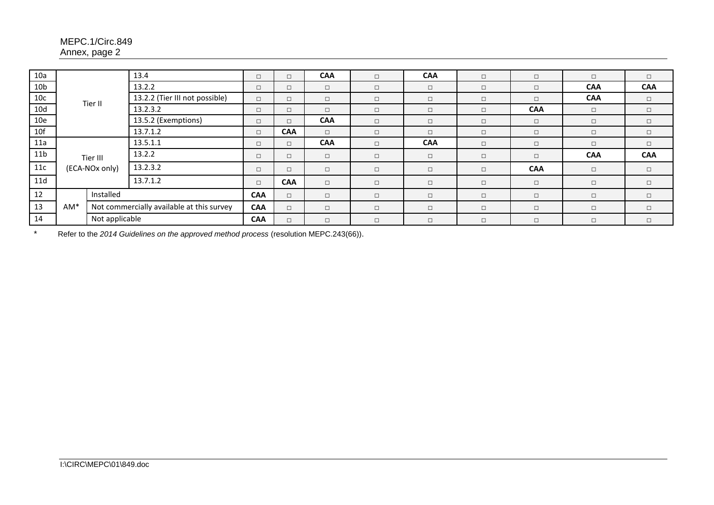## MEPC.1/Circ.849 Annex, page 2

| 10a             |                            |                                | 13.4                                      | $\Box$     | $\Box$     | <b>CAA</b> | $\Box$ | <b>CAA</b> | $\Box$ | $\Box$     | $\Box$     | $\Box$     |
|-----------------|----------------------------|--------------------------------|-------------------------------------------|------------|------------|------------|--------|------------|--------|------------|------------|------------|
| 10 <sub>b</sub> |                            |                                | 13.2.2                                    | $\Box$     | $\Box$     | $\Box$     | $\Box$ | $\Box$     | $\Box$ | $\Box$     | <b>CAA</b> | <b>CAA</b> |
| 10c             |                            | 13.2.2 (Tier III not possible) | $\Box$                                    | $\Box$     | $\Box$     | $\Box$     | $\Box$ | $\Box$     | $\Box$ | <b>CAA</b> | $\Box$     |            |
| 10d             | Tier II                    |                                | 13.2.3.2                                  | $\Box$     | $\Box$     | $\Box$     | $\Box$ | $\Box$     | $\Box$ | <b>CAA</b> | $\Box$     | $\Box$     |
| 10e             |                            |                                | 13.5.2 (Exemptions)                       | $\Box$     | $\Box$     | <b>CAA</b> | $\Box$ | $\Box$     | $\Box$ | $\Box$     | $\Box$     | $\Box$     |
| 10f             |                            |                                | 13.7.1.2                                  | $\Box$     | <b>CAA</b> | $\Box$     | $\Box$ | $\Box$     | $\Box$ | $\Box$     | $\Box$     | $\Box$     |
| 11a             | Tier III<br>(ECA-NOx only) |                                | 13.5.1.1                                  | $\Box$     | $\Box$     | <b>CAA</b> | $\Box$ | <b>CAA</b> | $\Box$ | $\Box$     | $\Box$     | $\Box$     |
| 11 <sub>b</sub> |                            |                                | 13.2.2                                    | $\Box$     | $\Box$     | $\Box$     | $\Box$ | $\Box$     | $\Box$ | $\Box$     | <b>CAA</b> | <b>CAA</b> |
| 11c             |                            |                                | 13.2.3.2                                  | $\Box$     | $\Box$     | $\Box$     | $\Box$ | $\Box$     | $\Box$ | <b>CAA</b> | $\Box$     | $\Box$     |
| 11d             |                            |                                | 13.7.1.2                                  | $\Box$     | <b>CAA</b> | $\Box$     | $\Box$ | $\Box$     | $\Box$ | $\Box$     | $\Box$     | $\Box$     |
| 12              | Installed<br>AM*           |                                |                                           | <b>CAA</b> | $\Box$     | $\Box$     | $\Box$ | $\Box$     | $\Box$ | $\Box$     | $\Box$     | $\Box$     |
| 13              |                            |                                | Not commercially available at this survey | <b>CAA</b> | $\Box$     | $\Box$     | $\Box$ | $\Box$     | $\Box$ | $\Box$     | $\Box$     | $\Box$     |
| 14              |                            | Not applicable                 |                                           | <b>CAA</b> | $\Box$     | $\Box$     | $\Box$ | $\Box$     | $\Box$ | $\Box$     | $\Box$     | $\Box$     |

\* Refer to the *2014 Guidelines on the approved method process* (resolution MEPC.243(66)).